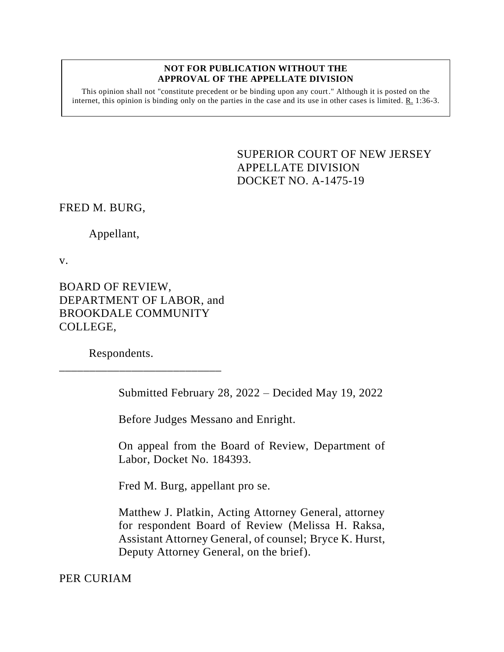#### **NOT FOR PUBLICATION WITHOUT THE APPROVAL OF THE APPELLATE DIVISION**

This opinion shall not "constitute precedent or be binding upon any court." Although it is posted on the internet, this opinion is binding only on the parties in the case and its use in other cases is limited.  $R_1$  1:36-3.

> <span id="page-0-0"></span>SUPERIOR COURT OF NEW JERSEY APPELLATE DIVISION DOCKET NO. A-1475-19

FRED M. BURG,

Appellant,

v.

BOARD OF REVIEW, DEPARTMENT OF LABOR, and BROOKDALE COMMUNITY COLLEGE,

\_\_\_\_\_\_\_\_\_\_\_\_\_\_\_\_\_\_\_\_\_\_\_\_\_\_\_

Respondents.

Submitted February 28, 2022 – Decided May 19, 2022

Before Judges Messano and Enright.

On appeal from the Board of Review, Department of Labor, Docket No. 184393.

Fred M. Burg, appellant pro se.

Matthew J. Platkin, Acting Attorney General, attorney for respondent Board of Review (Melissa H. Raksa, Assistant Attorney General, of counsel; Bryce K. Hurst, Deputy Attorney General, on the brief).

PER CURIAM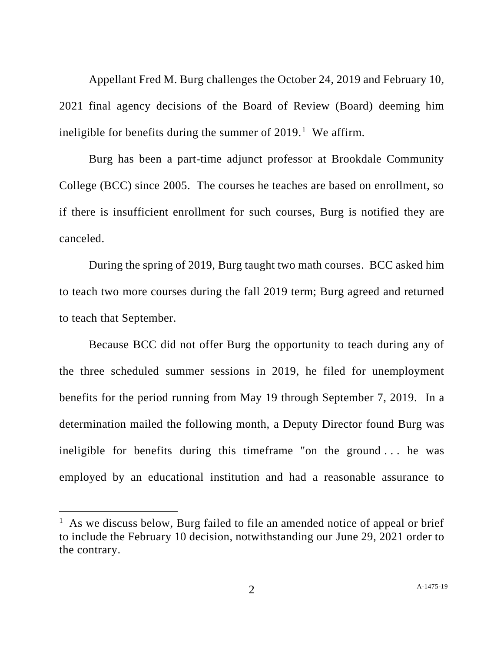Appellant Fred M. Burg challenges the October 24, 2019 and February 10, 2021 final agency decisions of the Board of Review (Board) deeming him ineligible for benefits during the summer of  $2019$ .<sup>1</sup> We affirm.

Burg has been a part-time adjunct professor at Brookdale Community College (BCC) since 2005. The courses he teaches are based on enrollment, so if there is insufficient enrollment for such courses, Burg is notified they are canceled.

During the spring of 2019, Burg taught two math courses. BCC asked him to teach two more courses during the fall 2019 term; Burg agreed and returned to teach that September.

Because BCC did not offer Burg the opportunity to teach during any of the three scheduled summer sessions in 2019, he filed for unemployment benefits for the period running from May 19 through September 7, 2019. In a determination mailed the following month, a Deputy Director found Burg was ineligible for benefits during this timeframe "on the ground . . . he was employed by an educational institution and had a reasonable assurance to

<sup>&</sup>lt;sup>1</sup> As we discuss below, Burg failed to file an amended notice of appeal or brief to include the February 10 decision, notwithstanding our June 29, 2021 order to the contrary.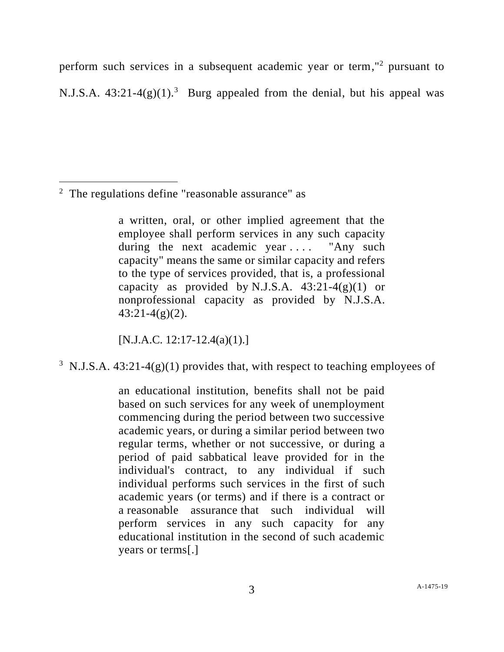perform such services in a subsequent academic year or term," <sup>2</sup> pursuant to N.J.S.A.  $43:21-4(g)(1)^3$  Burg appealed from the denial, but his appeal was

<sup>2</sup> The regulations define "reasonable assurance" as

a written, oral, or other implied agreement that the employee shall perform services in any such capacity during the next academic year .... "Any such capacity" means the same or similar capacity and refers to the type of services provided, that is, a professional capacity as provided by N.J.S.A.  $43:21-4(g)(1)$  or nonprofessional capacity as provided by N.J.S.A.  $43:21-4(g)(2)$ .

 $[N.J.A.C. 12:17-12.4(a)(1).]$ 

<sup>3</sup> N.J.S.A. 43:21-4(g)(1) provides that, with respect to teaching employees of

an educational institution, benefits shall not be paid based on such services for any week of unemployment commencing during the period between two successive academic years, or during a similar period between two regular terms, whether or not successive, or during a period of paid sabbatical leave provided for in the individual's contract, to any individual if such individual performs such services in the first of such academic years (or terms) and if there is a contract or a reasonable assurance that such individual will perform services in any such capacity for any educational institution in the second of such academic years or terms[.]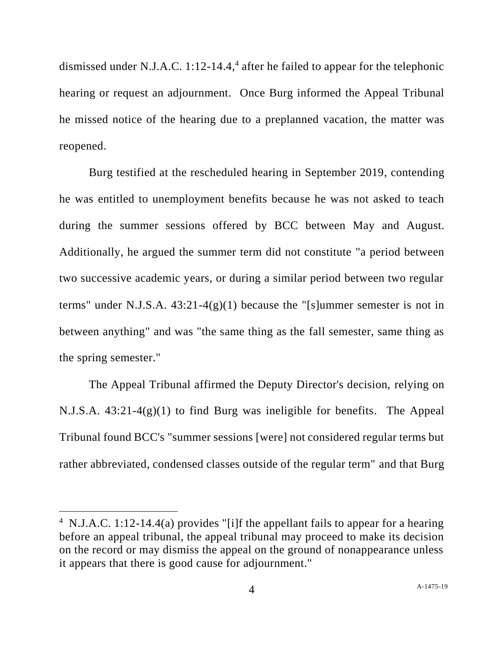dismissed under N.J.A.C. 1:12-14.4, 4 after he failed to appear for the telephonic hearing or request an adjournment. Once Burg informed the Appeal Tribunal he missed notice of the hearing due to a preplanned vacation, the matter was reopened.

Burg testified at the rescheduled hearing in September 2019, contending he was entitled to unemployment benefits because he was not asked to teach during the summer sessions offered by BCC between May and August. Additionally, he argued the summer term did not constitute "a period between two successive academic years, or during a similar period between two regular terms" under N.J.S.A. 43:21-4(g)(1) because the "[s]ummer semester is not in between anything" and was "the same thing as the fall semester, same thing as the spring semester."

The Appeal Tribunal affirmed the Deputy Director's decision, relying on N.J.S.A. 43:21-4(g)(1) to find Burg was ineligible for benefits. The Appeal Tribunal found BCC's "summer sessions [were] not considered regular terms but rather abbreviated, condensed classes outside of the regular term" and that Burg

<sup>&</sup>lt;sup>4</sup> N.J.A.C. 1:12-14.4(a) provides "[i]f the appellant fails to appear for a hearing before an appeal tribunal, the appeal tribunal may proceed to make its decision on the record or may dismiss the appeal on the ground of nonappearance unless it appears that there is good cause for adjournment."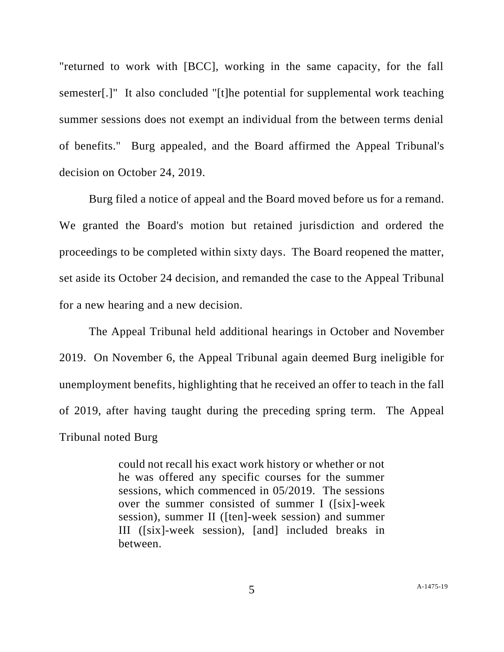"returned to work with [BCC], working in the same capacity, for the fall semester[.]" It also concluded "[t]he potential for supplemental work teaching summer sessions does not exempt an individual from the between terms denial of benefits." Burg appealed, and the Board affirmed the Appeal Tribunal's decision on October 24, 2019.

Burg filed a notice of appeal and the Board moved before us for a remand. We granted the Board's motion but retained jurisdiction and ordered the proceedings to be completed within sixty days. The Board reopened the matter, set aside its October 24 decision, and remanded the case to the Appeal Tribunal for a new hearing and a new decision.

The Appeal Tribunal held additional hearings in October and November 2019. On November 6, the Appeal Tribunal again deemed Burg ineligible for unemployment benefits, highlighting that he received an offer to teach in the fall of 2019, after having taught during the preceding spring term. The Appeal Tribunal noted Burg

> could not recall his exact work history or whether or not he was offered any specific courses for the summer sessions, which commenced in 05/2019. The sessions over the summer consisted of summer I ([six]-week session), summer II ([ten]-week session) and summer III ([six]-week session), [and] included breaks in between.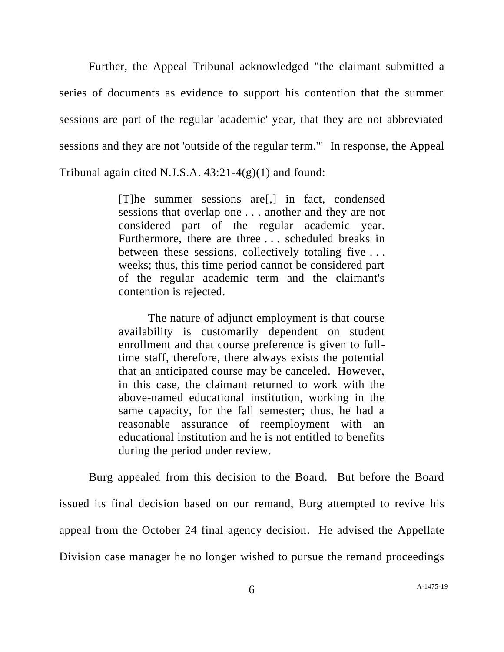Further, the Appeal Tribunal acknowledged "the claimant submitted a series of documents as evidence to support his contention that the summer sessions are part of the regular 'academic' year, that they are not abbreviated sessions and they are not 'outside of the regular term.'" In response, the Appeal Tribunal again cited N.J.S.A.  $43:21-4(g)(1)$  and found:

> [T]he summer sessions are[,] in fact, condensed sessions that overlap one . . . another and they are not considered part of the regular academic year. Furthermore, there are three . . . scheduled breaks in between these sessions, collectively totaling five ... weeks; thus, this time period cannot be considered part of the regular academic term and the claimant's contention is rejected.

> The nature of adjunct employment is that course availability is customarily dependent on student enrollment and that course preference is given to fulltime staff, therefore, there always exists the potential that an anticipated course may be canceled. However, in this case, the claimant returned to work with the above-named educational institution, working in the same capacity, for the fall semester; thus, he had a reasonable assurance of reemployment with an educational institution and he is not entitled to benefits during the period under review.

Burg appealed from this decision to the Board. But before the Board issued its final decision based on our remand, Burg attempted to revive his appeal from the October 24 final agency decision. He advised the Appellate Division case manager he no longer wished to pursue the remand proceedings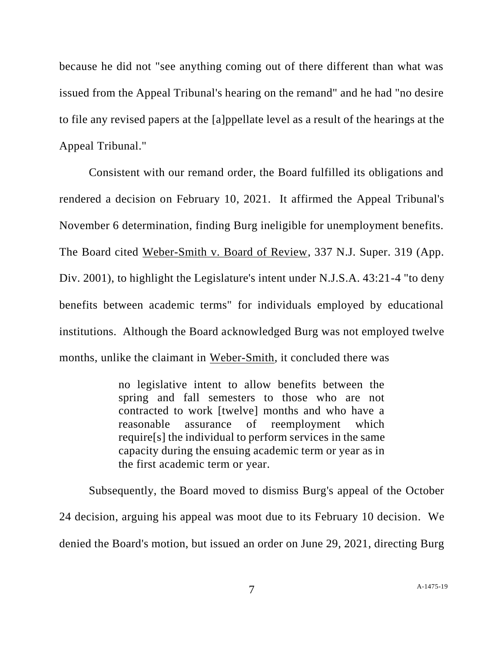because he did not "see anything coming out of there different than what was issued from the Appeal Tribunal's hearing on the remand" and he had "no desire to file any revised papers at the [a]ppellate level as a result of the hearings at the Appeal Tribunal."

Consistent with our remand order, the Board fulfilled its obligations and rendered a decision on February 10, 2021. It affirmed the Appeal Tribunal's November 6 determination, finding Burg ineligible for unemployment benefits. The Board cited Weber-Smith v. Board of Review, 337 N.J. Super. 319 (App. Div. 2001), to highlight the Legislature's intent under N.J.S.A. 43:21-4 "to deny benefits between academic terms" for individuals employed by educational institutions. Although the Board acknowledged Burg was not employed twelve months, unlike the claimant in Weber-Smith, it concluded there was

> no legislative intent to allow benefits between the spring and fall semesters to those who are not contracted to work [twelve] months and who have a reasonable assurance of reemployment which require[s] the individual to perform services in the same capacity during the ensuing academic term or year as in the first academic term or year.

Subsequently, the Board moved to dismiss Burg's appeal of the October 24 decision, arguing his appeal was moot due to its February 10 decision. We denied the Board's motion, but issued an order on June 29, 2021, directing Burg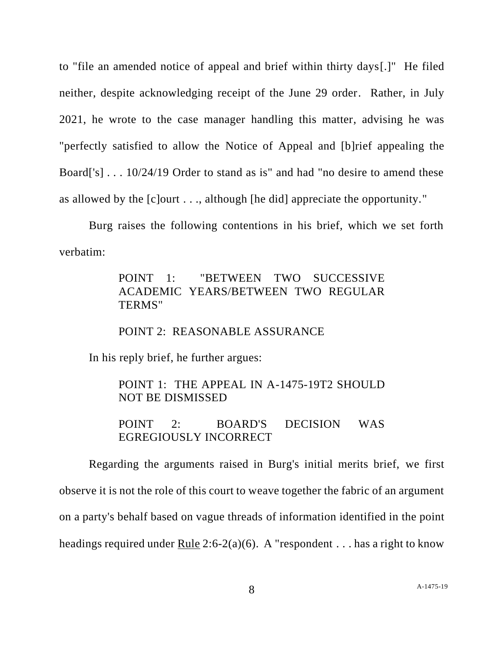to "file an amended notice of appeal and brief within thirty days[.]" He filed neither, despite acknowledging receipt of the June 29 order. Rather, in July 2021, he wrote to the case manager handling this matter, advising he was "perfectly satisfied to allow the Notice of Appeal and [b]rief appealing the Board['s] . . . 10/24/19 Order to stand as is" and had "no desire to amend these as allowed by the [c]ourt . . ., although [he did] appreciate the opportunity."

Burg raises the following contentions in his brief, which we set forth verbatim:

# POINT 1: "BETWEEN TWO SUCCESSIVE ACADEMIC YEARS/BETWEEN TWO REGULAR TERMS"

### POINT 2: REASONABLE ASSURANCE

In his reply brief, he further argues:

### POINT 1: THE APPEAL IN A-1475-19T2 SHOULD NOT BE DISMISSED

## POINT 2: BOARD'S DECISION WAS EGREGIOUSLY INCORRECT

Regarding the arguments raised in Burg's initial merits brief, we first observe it is not the role of this court to weave together the fabric of an argument on a party's behalf based on vague threads of information identified in the point headings required under Rule 2:6-2(a)(6). A "respondent . . . has a right to know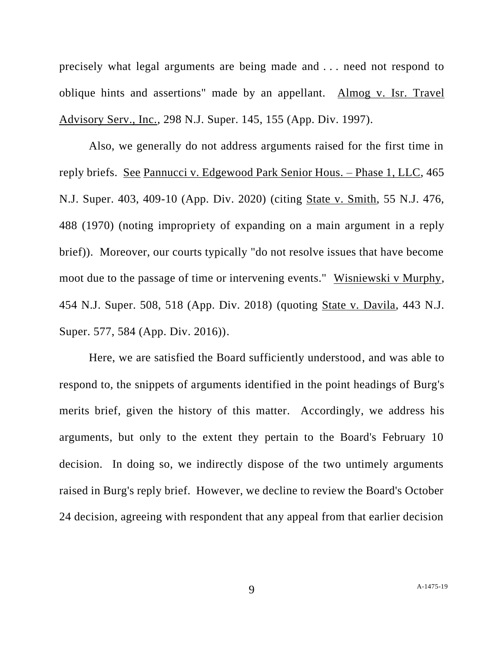precisely what legal arguments are being made and . . . need not respond to oblique hints and assertions" made by an appellant. Almog v. Isr. Travel Advisory Serv., Inc., 298 N.J. Super. 145, 155 (App. Div. 1997).

Also, we generally do not address arguments raised for the first time in reply briefs. See Pannucci v. Edgewood Park Senior Hous. – Phase 1, LLC, 465 N.J. Super. 403, 409-10 (App. Div. 2020) (citing State v. Smith, 55 N.J. 476, 488 (1970) (noting impropriety of expanding on a main argument in a reply brief)). Moreover, our courts typically "do not resolve issues that have become moot due to the passage of time or intervening events." Wisniewski v Murphy, 454 N.J. Super. 508, 518 (App. Div. 2018) (quoting State v. Davila, 443 N.J. Super. 577, 584 (App. Div. 2016)).

Here, we are satisfied the Board sufficiently understood, and was able to respond to, the snippets of arguments identified in the point headings of Burg's merits brief, given the history of this matter. Accordingly, we address his arguments, but only to the extent they pertain to the Board's February 10 decision. In doing so, we indirectly dispose of the two untimely arguments raised in Burg's reply brief. However, we decline to review the Board's October 24 decision, agreeing with respondent that any appeal from that earlier decision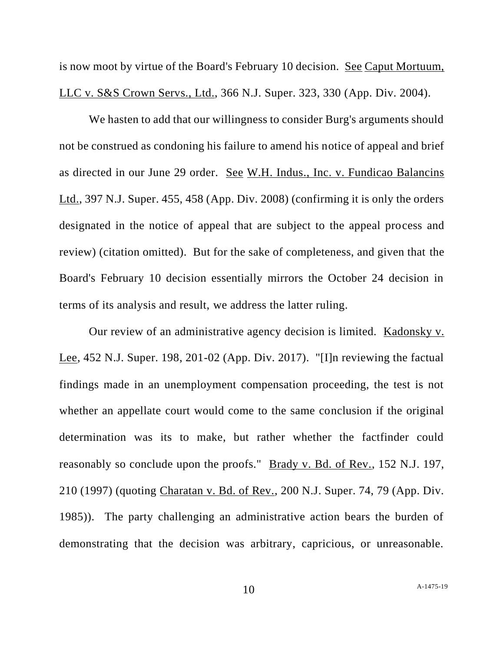is now moot by virtue of the Board's February 10 decision. See Caput Mortuum, LLC v. S&S Crown Servs., Ltd., 366 N.J. Super. 323, 330 (App. Div. 2004).

We hasten to add that our willingness to consider Burg's arguments should not be construed as condoning his failure to amend his notice of appeal and brief as directed in our June 29 order. See W.H. Indus., Inc. v. Fundicao Balancins Ltd., 397 N.J. Super. 455, 458 (App. Div. 2008) (confirming it is only the orders designated in the notice of appeal that are subject to the appeal process and review) (citation omitted). But for the sake of completeness, and given that the Board's February 10 decision essentially mirrors the October 24 decision in terms of its analysis and result, we address the latter ruling.

Our review of an administrative agency decision is limited. Kadonsky v. Lee, 452 N.J. Super. 198, 201-02 (App. Div. 2017). "[I]n reviewing the factual findings made in an unemployment compensation proceeding, the test is not whether an appellate court would come to the same conclusion if the original determination was its to make, but rather whether the factfinder could reasonably so conclude upon the proofs." Brady v. Bd. of Rev., 152 N.J. 197, 210 (1997) (quoting Charatan v. Bd. of Rev., 200 N.J. Super. 74, 79 (App. Div. 1985)). The party challenging an administrative action bears the burden of demonstrating that the decision was arbitrary, capricious, or unreasonable.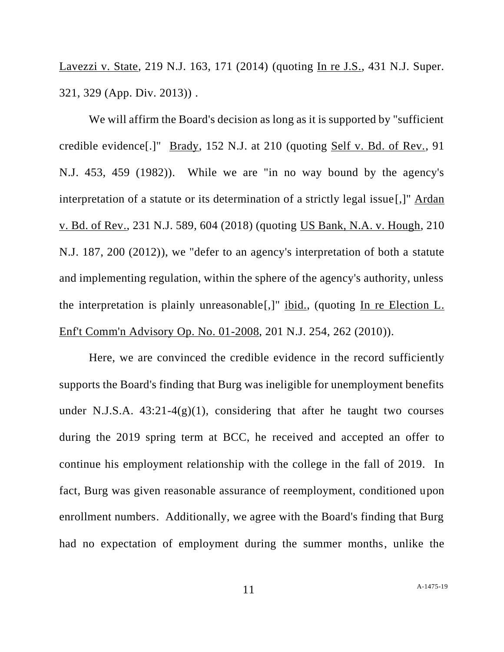Lavezzi v. State, 219 N.J. 163, 171 (2014) (quoting In re J.S., 431 N.J. Super. 321, 329 (App. Div. 2013)) .

We will affirm the Board's decision as long as it is supported by "sufficient credible evidence[.]" Brady, 152 N.J. at 210 (quoting Self v. Bd. of Rev., 91 N.J. 453, 459 (1982)). While we are "in no way bound by the agency's interpretation of a statute or its determination of a strictly legal issue[,]" Ardan v. Bd. of Rev., 231 N.J. 589, 604 (2018) (quoting US Bank, N.A. v. Hough, 210 N.J. 187, 200 (2012)), we "defer to an agency's interpretation of both a statute and implementing regulation, within the sphere of the agency's authority, unless the interpretation is plainly unreasonable[,]" ibid., (quoting In re Election L. Enf't Comm'n Advisory Op. No. 01-2008, 201 N.J. 254, 262 (2010)).

Here, we are convinced the credible evidence in the record sufficiently supports the Board's finding that Burg was ineligible for unemployment benefits under N.J.S.A.  $43:21-4(g)(1)$ , considering that after he taught two courses during the 2019 spring term at BCC, he received and accepted an offer to continue his employment relationship with the college in the fall of 2019. In fact, Burg was given reasonable assurance of reemployment, conditioned upon enrollment numbers. Additionally, we agree with the Board's finding that Burg had no expectation of employment during the summer months, unlike the